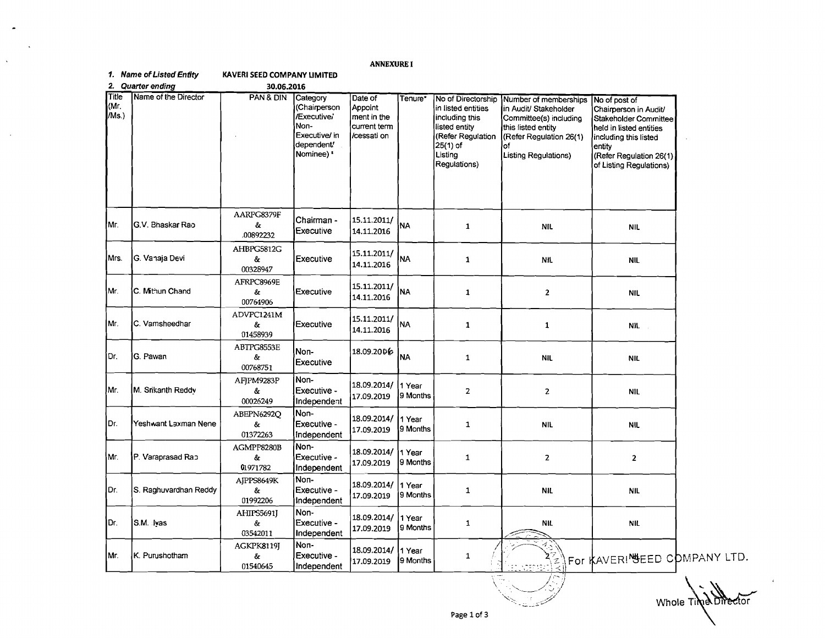## **ANNEXURE I**

## 1. Name of Listed Enfity **KAVERI SEED COMPANY LIMITED**

|  | 2. Quarter ending |  |
|--|-------------------|--|
|--|-------------------|--|

 $\bullet$ 

 $\mathbf{v}$ 

 $\sim 10^7$ 

| 30.06.2016 |  |
|------------|--|

| Title<br>(Mr.<br>/Ms.) | Name of the Director  | PAN & DIN                    | Category<br>(Chairperson<br>/Executive/<br>Non-<br>Executive/ in<br>dependent'<br>Nominee) <sup>*</sup> | Date of<br>Appoint<br>ment in the<br>current term<br>/cessati on | Tenure*            | No of Directorship<br>in listed entities<br>including this<br>listed entity<br>(Refer Regulation<br>$25(1)$ of<br>Listing<br>Regulations) | Number of memberships<br>in Audit/ Stakeholder<br>Committee(s) including<br>this listed entity<br>(Refer Regulation 26(1)<br>lof<br>Listing Regulations) | No of post of<br>Chairperson in Audit/<br>Stakeholder Committee<br>held in listed entities<br>including this listed<br>entity<br>(Refer Regulation 26(1)<br>of Listing Regulations) |
|------------------------|-----------------------|------------------------------|---------------------------------------------------------------------------------------------------------|------------------------------------------------------------------|--------------------|-------------------------------------------------------------------------------------------------------------------------------------------|----------------------------------------------------------------------------------------------------------------------------------------------------------|-------------------------------------------------------------------------------------------------------------------------------------------------------------------------------------|
| Мr.                    | G.V. Bhaskar Rao      | AARPG8379F<br>&<br>00892232  | Chairman -<br>Executive                                                                                 | 15.11.2011/<br>14.11.2016                                        | NA                 | $\mathbf{1}$                                                                                                                              | <b>NIL</b>                                                                                                                                               | <b>NIL</b>                                                                                                                                                                          |
| Mrs.                   | G. Vanaja Devi        | AHBPG5812G<br>&<br>00328947  | Executive                                                                                               | 15.11.2011/<br>14.11.2016                                        | <b>NA</b>          | $\mathbf{1}$                                                                                                                              | <b>NIL</b>                                                                                                                                               | <b>NIL</b>                                                                                                                                                                          |
| Mr.                    | C. Mithun Chand       | AFRPC8969E<br>ô.<br>00764906 | Executive                                                                                               | 15.11.2011/<br>14.11.2016                                        | NA                 | $\mathbf{1}$                                                                                                                              | $\overline{2}$                                                                                                                                           | <b>NIL</b>                                                                                                                                                                          |
| Mr.                    | C. Vamsheedhar        | ADVPC1241M<br>ô.<br>01458939 | Executive                                                                                               | 15.11.2011/<br>14.11.2016                                        | NA                 | $\mathbf{1}$                                                                                                                              | $\mathbf 1$                                                                                                                                              | NIL.                                                                                                                                                                                |
| ۱Dr.                   | G. Pawan              | ABTPG8553E<br>&<br>00768751  | Non-<br>Executive                                                                                       | 18.09.2006                                                       | <b>NA</b>          | $\mathbf{1}$                                                                                                                              | <b>NIL</b>                                                                                                                                               | <b>NIL</b>                                                                                                                                                                          |
| Mr.                    | M. Srikanth Reddy     | AFJPM9283P<br>&<br>00026249  | Non-<br>Executive -<br>Independent                                                                      | 18.09.2014/<br>17.09.2019                                        | 1 Year<br>9 Months | $\mathbf{Z}$                                                                                                                              | $\overline{a}$                                                                                                                                           | <b>NIL</b>                                                                                                                                                                          |
| IDr.                   | Yeshwant Laxman Nene  | ABEPN6292Q<br>&<br>01372263  | Non-<br>Executive -<br>Independent                                                                      | 18.09.2014/<br>17.09.2019                                        | 1 Year<br>9 Months | $\mathbf{1}$                                                                                                                              | <b>NIL</b>                                                                                                                                               | <b>NIL</b>                                                                                                                                                                          |
| Mr.                    | P. Varaprasad Rap     | AGMPP8280B<br>å<br>01971782  | Non-<br>Executive -<br>Independent                                                                      | 18.09.2014/<br>17.09.2019                                        | 1 Year<br>9 Months | 1                                                                                                                                         | $\overline{2}$                                                                                                                                           | $\overline{2}$                                                                                                                                                                      |
| Dr.                    | S. Raghuvardhan Reddy | AIPPS8649K<br>&<br>01992206  | Non-<br>Executive -<br>Independent                                                                      | 18.09.2014/<br>17.09.2019                                        | 1 Year<br>9 Months | 1                                                                                                                                         | <b>NIL</b>                                                                                                                                               | <b>NIL</b>                                                                                                                                                                          |
| IDr.                   | S.M. Ivas             | AHIPS5691J<br>&.<br>03542011 | Non-<br>Executive -<br>Independent                                                                      | 18.09.2014/<br>17.09.2019                                        | 1 Year<br>9 Months | 1                                                                                                                                         | NIL.                                                                                                                                                     | <b>NIL</b>                                                                                                                                                                          |
| Mr.                    | K. Purushotham        | AGKPK8119J<br>ô.<br>01540645 | Non-<br>Executive -<br>Independent                                                                      | 18.09.2014/<br>17.09.2019                                        | 1 Year<br>9 Months | 1                                                                                                                                         | <甘                                                                                                                                                       | For KAVERI SEED COMPANY LTD.                                                                                                                                                        |

Whole Page **1** of **3**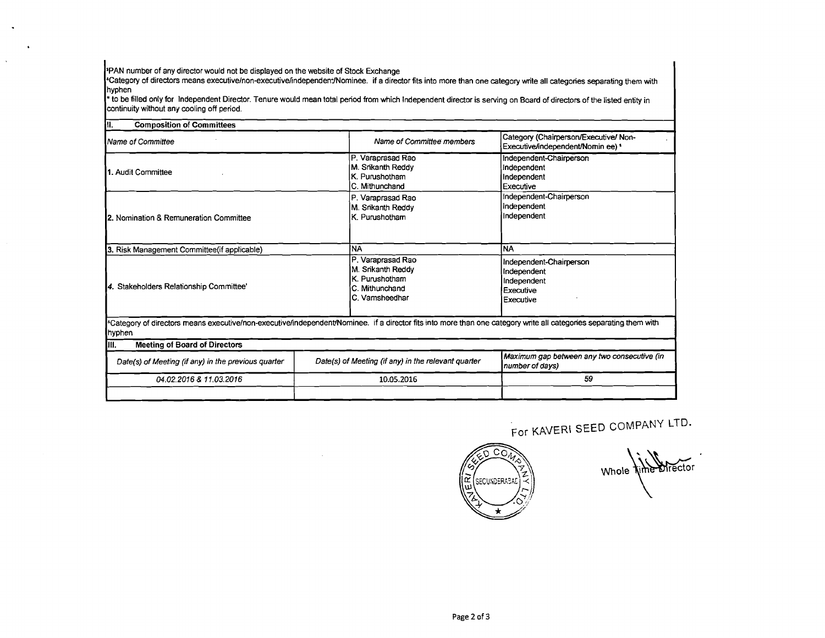\$PAN number of any director would not be displayed on the website of Stock Exchange

'Category of directors means **executivelnon-executivehndependen-INominee.** if a director fits into more than one category wn'te all categories separating them with hyphen

\*to be filled only for lndependent Director. Tenure would mean tobl period from which lndependent director is serving on Board of directors of the listed entity in continuity without any cooling off period.

| Iu.<br><b>Composition of Committees</b>             |                                                                                                                                                                    |                                                                                 |  |
|-----------------------------------------------------|--------------------------------------------------------------------------------------------------------------------------------------------------------------------|---------------------------------------------------------------------------------|--|
| <b>N</b> ame of Committee                           | Name of Committee members                                                                                                                                          | Category (Chairperson/Executive/ Non-<br>Executive/independent/Nomin ee) \$     |  |
| 11. Audit Committee                                 | P. Varaprasad Rao<br>M. Srikanth Reddy<br>K. Purushotham<br>C. Mithunchand                                                                                         | Independent-Chairperson<br>Independent<br>Independent<br>Executive              |  |
| 2. Nomination & Remuneration Committee              | P. Varaprasad Rao<br>M. Srikanth Reddy<br>K. Purushotham                                                                                                           | Independent-Chairperson<br>Independent<br>Independent                           |  |
| 3. Risk Management Committee (if applicable)        | <b>NA</b>                                                                                                                                                          | <b>NA</b>                                                                       |  |
| 4. Stakeholders Relationship Committee'             | P. Varaprasad Rao<br>M. Srikanth Reddy<br>K. Purushotham<br>C. Mithunchand<br>C. Vamsheedhar                                                                       | Independent-Chairperson<br>Independent<br>Independent<br>Executive<br>Executive |  |
| hyphen                                              | *Category of directors means executive/non-executive/independent/Nominee. if a director fits into more than one category write all categories separating them with |                                                                                 |  |
| III.<br><b>Meeting of Board of Directors</b>        |                                                                                                                                                                    |                                                                                 |  |
| Date(s) of Meeting (if any) in the previous quarter | Date(s) of Meeting (if any) in the relevant quarter                                                                                                                | Maximum gap between any two consecutive (in<br>number of days)                  |  |
| 04.02.2016 & 11.03.2016                             | 10.05.2016                                                                                                                                                         | 59                                                                              |  |
|                                                     |                                                                                                                                                                    |                                                                                 |  |

For KAVERI SEED COMPANY LTD.

0 co. ΙŘ SECUNDERABAE

Whole fine director